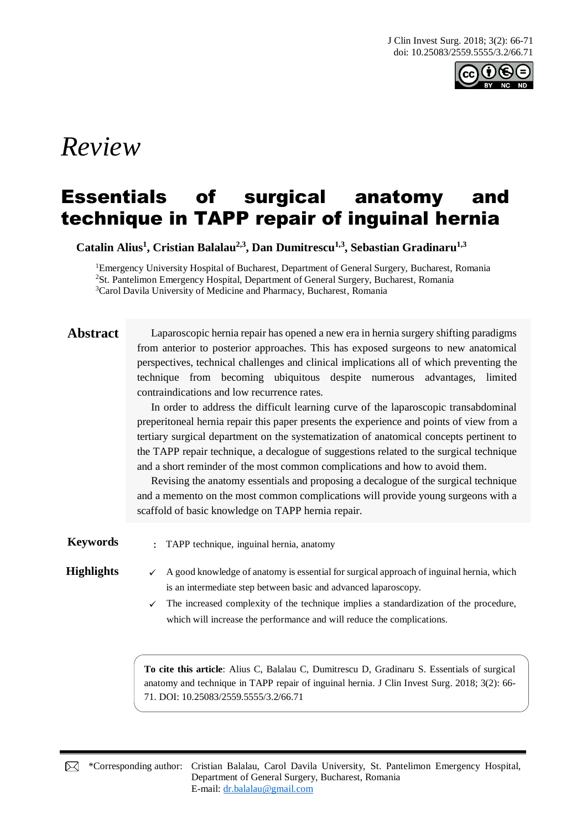

# *Review*

## Essentials of surgical anatomy and technique in TAPP repair of inguinal hernia

**Catalin Alius<sup>1</sup> , Cristian Balalau2,3 , Dan Dumitrescu1,3 , Sebastian Gradinaru1,3**

<sup>1</sup>Emergency University Hospital of Bucharest, Department of General Surgery, Bucharest, Romania <sup>2</sup>St. Pantelimon Emergency Hospital, Department of General Surgery, Bucharest, Romania <sup>3</sup>Carol Davila University of Medicine and Pharmacy, Bucharest, Romania

**Abstract** Laparoscopic hernia repair has opened a new era in hernia surgery shifting paradigms from anterior to posterior approaches. This has exposed surgeons to new anatomical perspectives, technical challenges and clinical implications all of which preventing the technique from becoming ubiquitous despite numerous advantages, limited contraindications and low recurrence rates.

> In order to address the difficult learning curve of the laparoscopic transabdominal preperitoneal hernia repair this paper presents the experience and points of view from a tertiary surgical department on the systematization of anatomical concepts pertinent to the TAPP repair technique, a decalogue of suggestions related to the surgical technique and a short reminder of the most common complications and how to avoid them.

> Revising the anatomy essentials and proposing a decalogue of the surgical technique and a memento on the most common complications will provide young surgeons with a scaffold of basic knowledge on TAPP hernia repair.

**Keywords** : TAPP technique, inguinal hernia, anatomy

- **Highlights**  $\checkmark$  A good knowledge of anatomy is essential for surgical approach of inguinal hernia, which is an intermediate step between basic and advanced laparoscopy.
	- $\checkmark$  The increased complexity of the technique implies a standardization of the procedure, which will increase the performance and will reduce the complications.

**To cite this article**: Alius C, Balalau C, Dumitrescu D, Gradinaru S. Essentials of surgical anatomy and technique in TAPP repair of inguinal hernia. J Clin Invest Surg. 2018; 3(2): 66- 71. DOI: 10.25083/2559.5555/3.2/66.71

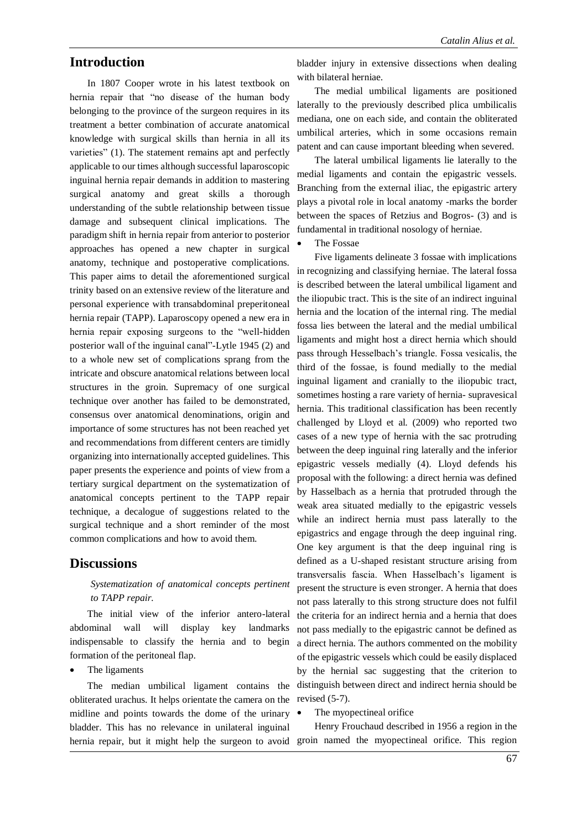#### **Introduction**

In 1807 Cooper wrote in his latest textbook on hernia repair that "no disease of the human body belonging to the province of the surgeon requires in its treatment a better combination of accurate anatomical knowledge with surgical skills than hernia in all its varieties" (1). The statement remains apt and perfectly applicable to our times although successful laparoscopic inguinal hernia repair demands in addition to mastering surgical anatomy and great skills a thorough understanding of the subtle relationship between tissue damage and subsequent clinical implications. The paradigm shift in hernia repair from anterior to posterior approaches has opened a new chapter in surgical anatomy, technique and postoperative complications. This paper aims to detail the aforementioned surgical trinity based on an extensive review of the literature and personal experience with transabdominal preperitoneal hernia repair (TAPP). Laparoscopy opened a new era in hernia repair exposing surgeons to the "well-hidden posterior wall of the inguinal canal"-Lytle 1945 (2) and to a whole new set of complications sprang from the intricate and obscure anatomical relations between local structures in the groin. Supremacy of one surgical technique over another has failed to be demonstrated, consensus over anatomical denominations, origin and importance of some structures has not been reached yet and recommendations from different centers are timidly organizing into internationally accepted guidelines. This paper presents the experience and points of view from a tertiary surgical department on the systematization of anatomical concepts pertinent to the TAPP repair technique, a decalogue of suggestions related to the surgical technique and a short reminder of the most common complications and how to avoid them.

#### **Discussions**

#### *Systematization of anatomical concepts pertinent to TAPP repair.*

The initial view of the inferior antero-lateral abdominal wall will display key landmarks indispensable to classify the hernia and to begin formation of the peritoneal flap.

#### The ligaments

The median umbilical ligament contains the obliterated urachus. It helps orientate the camera on the midline and points towards the dome of the urinary bladder. This has no relevance in unilateral inguinal hernia repair, but it might help the surgeon to avoid groin named the myopectineal orifice. This region

bladder injury in extensive dissections when dealing with bilateral herniae.

The medial umbilical ligaments are positioned laterally to the previously described plica umbilicalis mediana, one on each side, and contain the obliterated umbilical arteries, which in some occasions remain patent and can cause important bleeding when severed.

The lateral umbilical ligaments lie laterally to the medial ligaments and contain the epigastric vessels. Branching from the external iliac, the epigastric artery plays a pivotal role in local anatomy -marks the border between the spaces of Retzius and Bogros- (3) and is fundamental in traditional nosology of herniae.

#### The Fossae

Five ligaments delineate 3 fossae with implications in recognizing and classifying herniae. The lateral fossa is described between the lateral umbilical ligament and the iliopubic tract. This is the site of an indirect inguinal hernia and the location of the internal ring. The medial fossa lies between the lateral and the medial umbilical ligaments and might host a direct hernia which should pass through Hesselbach's triangle. Fossa vesicalis, the third of the fossae, is found medially to the medial inguinal ligament and cranially to the iliopubic tract, sometimes hosting a rare variety of hernia- supravesical hernia. This traditional classification has been recently challenged by Lloyd et al. (2009) who reported two cases of a new type of hernia with the sac protruding between the deep inguinal ring laterally and the inferior epigastric vessels medially (4). Lloyd defends his proposal with the following: a direct hernia was defined by Hasselbach as a hernia that protruded through the weak area situated medially to the epigastric vessels while an indirect hernia must pass laterally to the epigastrics and engage through the deep inguinal ring. One key argument is that the deep inguinal ring is defined as a U-shaped resistant structure arising from transversalis fascia. When Hasselbach's ligament is present the structure is even stronger. A hernia that does not pass laterally to this strong structure does not fulfil the criteria for an indirect hernia and a hernia that does not pass medially to the epigastric cannot be defined as a direct hernia. The authors commented on the mobility of the epigastric vessels which could be easily displaced by the hernial sac suggesting that the criterion to distinguish between direct and indirect hernia should be revised (5-7).

The myopectineal orifice

Henry Frouchaud described in 1956 a region in the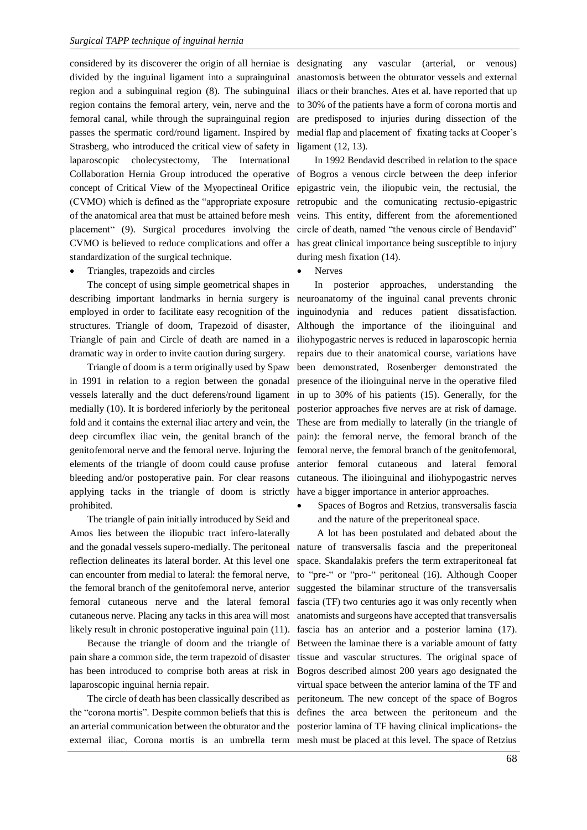considered by its discoverer the origin of all herniae is designating any vascular (arterial, or venous) divided by the inguinal ligament into a suprainguinal region and a subinguinal region (8). The subinguinal region contains the femoral artery, vein, nerve and the femoral canal, while through the suprainguinal region passes the spermatic cord/round ligament. Inspired by Strasberg, who introduced the critical view of safety in laparoscopic cholecystectomy, The International concept of Critical View of the Myopectineal Orifice (CVMO) which is defined as the "appropriate exposure of the anatomical area that must be attained before mesh placement" (9). Surgical procedures involving the CVMO is believed to reduce complications and offer a standardization of the surgical technique.

• Triangles, trapezoids and circles

The concept of using simple geometrical shapes in describing important landmarks in hernia surgery is employed in order to facilitate easy recognition of the structures. Triangle of doom, Trapezoid of disaster, Triangle of pain and Circle of death are named in a dramatic way in order to invite caution during surgery.

Triangle of doom is a term originally used by Spaw in 1991 in relation to a region between the gonadal vessels laterally and the duct deferens/round ligament medially (10). It is bordered inferiorly by the peritoneal fold and it contains the external iliac artery and vein, the deep circumflex iliac vein, the genital branch of the genitofemoral nerve and the femoral nerve. Injuring the elements of the triangle of doom could cause profuse bleeding and/or postoperative pain. For clear reasons applying tacks in the triangle of doom is strictly have a bigger importance in anterior approaches. prohibited.

The triangle of pain initially introduced by Seid and Amos lies between the iliopubic tract infero-laterally and the gonadal vessels supero-medially. The peritoneal reflection delineates its lateral border. At this level one can encounter from medial to lateral: the femoral nerve, the femoral branch of the genitofemoral nerve, anterior femoral cutaneous nerve and the lateral femoral cutaneous nerve. Placing any tacks in this area will most likely result in chronic postoperative inguinal pain (11).

Because the triangle of doom and the triangle of pain share a common side, the term trapezoid of disaster laparoscopic inguinal hernia repair.

The circle of death has been classically described as the "corona mortis". Despite common beliefs that this is external iliac, Corona mortis is an umbrella term mesh must be placed at this level. The space of Retzius

anastomosis between the obturator vessels and external iliacs or their branches. Ates et al. have reported that up to 30% of the patients have a form of corona mortis and are predisposed to injuries during dissection of the medial flap and placement of fixating tacks at Cooper's ligament (12, 13).

Collaboration Hernia Group introduced the operative of Bogros a venous circle between the deep inferior In 1992 Bendavid described in relation to the space epigastric vein, the iliopubic vein, the rectusial, the retropubic and the comunicating rectusio-epigastric veins. This entity, different from the aforementioned circle of death, named "the venous circle of Bendavid" has great clinical importance being susceptible to injury during mesh fixation (14).

**Nerves** 

In posterior approaches, understanding the neuroanatomy of the inguinal canal prevents chronic inguinodynia and reduces patient dissatisfaction. Although the importance of the ilioinguinal and iliohypogastric nerves is reduced in laparoscopic hernia repairs due to their anatomical course, variations have been demonstrated, Rosenberger demonstrated the presence of the ilioinguinal nerve in the operative filed in up to 30% of his patients (15). Generally, for the posterior approaches five nerves are at risk of damage. These are from medially to laterally (in the triangle of pain): the femoral nerve, the femoral branch of the femoral nerve, the femoral branch of the genitofemoral, anterior femoral cutaneous and lateral femoral cutaneous. The ilioinguinal and iliohypogastric nerves

• Spaces of Bogros and Retzius, transversalis fascia and the nature of the preperitoneal space.

has been introduced to comprise both areas at risk in Bogros described almost 200 years ago designated the an arterial communication between the obturator and the posterior lamina of TF having clinical implications- the A lot has been postulated and debated about the nature of transversalis fascia and the preperitoneal space. Skandalakis prefers the term extraperitoneal fat to "pre-" or "pro-" peritoneal (16). Although Cooper suggested the bilaminar structure of the transversalis fascia (TF) two centuries ago it was only recently when anatomists and surgeons have accepted that transversalis fascia has an anterior and a posterior lamina (17). Between the laminae there is a variable amount of fatty tissue and vascular structures. The original space of virtual space between the anterior lamina of the TF and peritoneum. The new concept of the space of Bogros defines the area between the peritoneum and the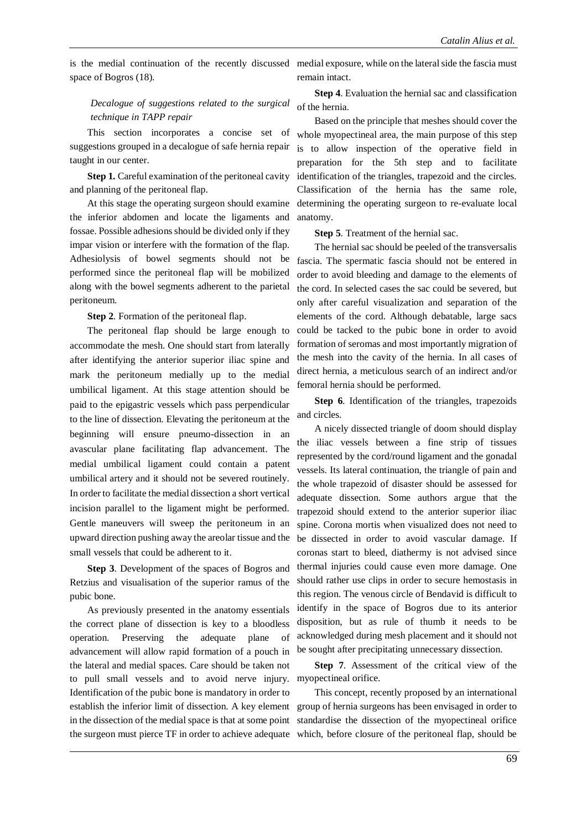space of Bogros (18).

#### *Decalogue of suggestions related to the surgical technique in TAPP repair*

This section incorporates a concise set of taught in our center.

**Step 1.** Careful examination of the peritoneal cavity and planning of the peritoneal flap.

At this stage the operating surgeon should examine the inferior abdomen and locate the ligaments and fossae. Possible adhesions should be divided only if they impar vision or interfere with the formation of the flap. Adhesiolysis of bowel segments should not be performed since the peritoneal flap will be mobilized along with the bowel segments adherent to the parietal peritoneum.

**Step 2**. Formation of the peritoneal flap.

The peritoneal flap should be large enough to accommodate the mesh. One should start from laterally after identifying the anterior superior iliac spine and mark the peritoneum medially up to the medial umbilical ligament. At this stage attention should be paid to the epigastric vessels which pass perpendicular to the line of dissection. Elevating the peritoneum at the beginning will ensure pneumo-dissection in an avascular plane facilitating flap advancement. The medial umbilical ligament could contain a patent umbilical artery and it should not be severed routinely. In order to facilitate the medial dissection a short vertical incision parallel to the ligament might be performed. Gentle maneuvers will sweep the peritoneum in an upward direction pushing away the areolar tissue and the small vessels that could be adherent to it.

**Step 3**. Development of the spaces of Bogros and Retzius and visualisation of the superior ramus of the pubic bone.

As previously presented in the anatomy essentials the correct plane of dissection is key to a bloodless operation. Preserving the adequate plane of advancement will allow rapid formation of a pouch in the lateral and medial spaces. Care should be taken not to pull small vessels and to avoid nerve injury. myopectineal orifice. Identification of the pubic bone is mandatory in order to establish the inferior limit of dissection. A key element in the dissection of the medial space is that at some point

is the medial continuation of the recently discussed medial exposure, while on the lateral side the fascia must remain intact.

> **Step 4**. Evaluation the hernial sac and classification of the hernia.

suggestions grouped in a decalogue of safe hernia repair is to allow inspection of the operative field in Based on the principle that meshes should cover the whole myopectineal area, the main purpose of this step preparation for the 5th step and to facilitate identification of the triangles, trapezoid and the circles. Classification of the hernia has the same role, determining the operating surgeon to re-evaluate local anatomy.

**Step 5**. Treatment of the hernial sac.

The hernial sac should be peeled of the transversalis fascia. The spermatic fascia should not be entered in order to avoid bleeding and damage to the elements of the cord. In selected cases the sac could be severed, but only after careful visualization and separation of the elements of the cord. Although debatable, large sacs could be tacked to the pubic bone in order to avoid formation of seromas and most importantly migration of the mesh into the cavity of the hernia. In all cases of direct hernia, a meticulous search of an indirect and/or femoral hernia should be performed.

**Step 6**. Identification of the triangles, trapezoids and circles.

A nicely dissected triangle of doom should display the iliac vessels between a fine strip of tissues represented by the cord/round ligament and the gonadal vessels. Its lateral continuation, the triangle of pain and the whole trapezoid of disaster should be assessed for adequate dissection. Some authors argue that the trapezoid should extend to the anterior superior iliac spine. Corona mortis when visualized does not need to be dissected in order to avoid vascular damage. If coronas start to bleed, diathermy is not advised since thermal injuries could cause even more damage. One should rather use clips in order to secure hemostasis in this region. The venous circle of Bendavid is difficult to identify in the space of Bogros due to its anterior disposition, but as rule of thumb it needs to be acknowledged during mesh placement and it should not be sought after precipitating unnecessary dissection.

**Step 7**. Assessment of the critical view of the

the surgeon must pierce TF in order to achieve adequate which, before closure of the peritoneal flap, should be This concept, recently proposed by an international group of hernia surgeons has been envisaged in order to standardise the dissection of the myopectineal orifice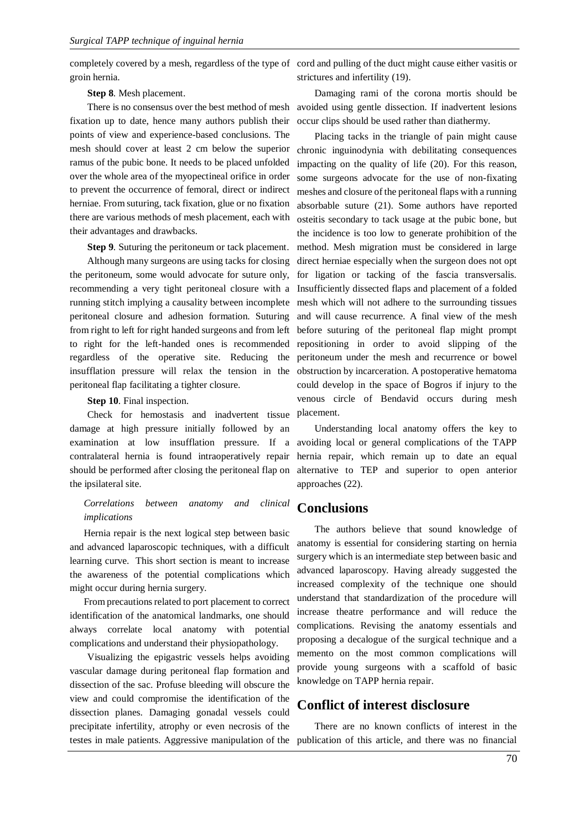groin hernia.

**Step 8**. Mesh placement.

fixation up to date, hence many authors publish their points of view and experience-based conclusions. The mesh should cover at least 2 cm below the superior ramus of the pubic bone. It needs to be placed unfolded over the whole area of the myopectineal orifice in order to prevent the occurrence of femoral, direct or indirect herniae. From suturing, tack fixation, glue or no fixation there are various methods of mesh placement, each with their advantages and drawbacks.

**Step 9**. Suturing the peritoneum or tack placement.

Although many surgeons are using tacks for closing the peritoneum, some would advocate for suture only, recommending a very tight peritoneal closure with a running stitch implying a causality between incomplete peritoneal closure and adhesion formation. Suturing from right to left for right handed surgeons and from left to right for the left-handed ones is recommended regardless of the operative site. Reducing the insufflation pressure will relax the tension in the peritoneal flap facilitating a tighter closure.

#### **Step 10**. Final inspection.

Check for hemostasis and inadvertent tissue damage at high pressure initially followed by an examination at low insufflation pressure. If a contralateral hernia is found intraoperatively repair should be performed after closing the peritoneal flap on the ipsilateral site.

#### *Correlations between anatomy and clinical implications*

Hernia repair is the next logical step between basic and advanced laparoscopic techniques, with a difficult learning curve. This short section is meant to increase the awareness of the potential complications which might occur during hernia surgery.

From precautions related to port placement to correct identification of the anatomical landmarks, one should always correlate local anatomy with potential complications and understand their physiopathology.

Visualizing the epigastric vessels helps avoiding vascular damage during peritoneal flap formation and dissection of the sac. Profuse bleeding will obscure the view and could compromise the identification of the dissection planes. Damaging gonadal vessels could precipitate infertility, atrophy or even necrosis of the testes in male patients. Aggressive manipulation of the publication of this article, and there was no financial

completely covered by a mesh, regardless of the type of cord and pulling of the duct might cause either vasitis or strictures and infertility (19).

There is no consensus over the best method of mesh avoided using gentle dissection. If inadvertent lesions Damaging rami of the corona mortis should be occur clips should be used rather than diathermy.

> Placing tacks in the triangle of pain might cause chronic inguinodynia with debilitating consequences impacting on the quality of life (20). For this reason, some surgeons advocate for the use of non-fixating meshes and closure of the peritoneal flaps with a running absorbable suture (21). Some authors have reported osteitis secondary to tack usage at the pubic bone, but the incidence is too low to generate prohibition of the method. Mesh migration must be considered in large direct herniae especially when the surgeon does not opt for ligation or tacking of the fascia transversalis. Insufficiently dissected flaps and placement of a folded mesh which will not adhere to the surrounding tissues and will cause recurrence. A final view of the mesh before suturing of the peritoneal flap might prompt repositioning in order to avoid slipping of the peritoneum under the mesh and recurrence or bowel obstruction by incarceration. A postoperative hematoma could develop in the space of Bogros if injury to the venous circle of Bendavid occurs during mesh placement.

> Understanding local anatomy offers the key to avoiding local or general complications of the TAPP hernia repair, which remain up to date an equal alternative to TEP and superior to open anterior approaches (22).

#### **Conclusions**

The authors believe that sound knowledge of anatomy is essential for considering starting on hernia surgery which is an intermediate step between basic and advanced laparoscopy. Having already suggested the increased complexity of the technique one should understand that standardization of the procedure will increase theatre performance and will reduce the complications. Revising the anatomy essentials and proposing a decalogue of the surgical technique and a memento on the most common complications will provide young surgeons with a scaffold of basic knowledge on TAPP hernia repair.

#### **Conflict of interest disclosure**

There are no known conflicts of interest in the